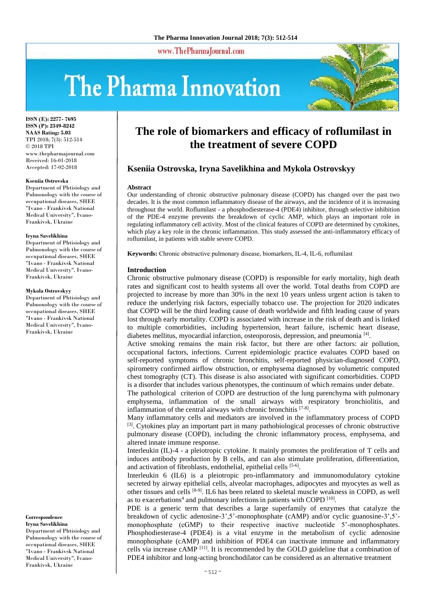www.ThePharmaJournal.com

# The Pharma Innovation



**ISSN (E): 2277- 7695 ISSN (P): 2349-8242 NAAS Rating: 5.03** TPI 2018; 7(3): 512-514 © 2018 TPI www.thepharmajournal.com Received: 16-01-2018 Accepted: 17-02-2018

#### **Kseniia Ostrovska**

Department of Phtisiology and Pulmonology with the course of occupational diseases, SHEE "Ivano - Frankivsk National Medical University", Ivano-Frankivsk, Ukraine

#### **Iryna Savelikhina**

Department of Phtisiology and Pulmonology with the course of occupational diseases, SHEE "Ivano - Frankivsk National Medical University", Ivano-Frankivsk, Ukraine

#### **Mykola Ostrovskyy**

Department of Phtisiology and Pulmonology with the course of occupational diseases, SHEE "Ivano - Frankivsk National Medical University", Ivano-Frankivsk, Ukraine

**Correspondence Iryna Savelikhina** Department of Phtisiology and Pulmonology with the course of occupational diseases, SHEE "Ivano - Frankivsk National Medical University", Ivano-Frankivsk, Ukraine

# **The role of biomarkers and efficacy of roflumilast in the treatment of severe COPD**

# **Kseniia Ostrovska, Iryna Savelikhina and Mykola Ostrovskyy**

#### **Abstract**

Our understanding of chronic obstructive pulmonary disease (COPD) has changed over the past two decades. It is the most common inflammatory disease of the airways, and the incidence of it is increasing throughout the world. Roflumilast - a phosphodiesterase-4 (PDE4) inhibitor, through selective inhibition of the PDE-4 enzyme prevents the breakdown of cyclic AMP, which plays an important role in regulating inflammatory cell activity. Most of the clinical features of COPD are determined by cytokines, which play a key role in the chronic inflammation. This study assessed the anti-inflammatory efficacy of roflumilast, in patients with stable severe COPD.

**Keywords:** Сhronic obstructive pulmonary disease, biomarkers, IL-4, IL-6, roflumilast

#### **Introduction**

Chronic obstructive pulmonary disease (COPD) is responsible for early mortality, high death rates and significant cost to health systems all over the world. Total deaths from COPD are projected to increase by more than 30% in the next 10 years unless urgent action is taken to reduce the underlying risk factors, especially tobacco use. The projection for 2020 indicates that COPD will be the third leading cause of death worldwide and fifth leading cause of years lost through early mortality. COPD is associated with increase in the risk of death and is linked to multiple comorbidities, including hypertension, heart failure, ischemic heart disease, diabetes mellitus, myocardial infarction, osteoporosis, depression, and pneumonia [4].

Active smoking remains the main risk factor, but there are other factors: air pollution, occupational factors, infections. Current epidemiologic practice evaluates COPD based on self-reported symptoms of chronic bronchitis, self-reported physician-diagnosed COPD, spirometry confirmed airflow obstruction, or emphysema diagnosed by volumetric computed chest tomography (CT). This disease is also associated with significant comorbidities. COPD is a disorder that includes various phenotypes, the continuum of which remains under debate.

The pathological criterion of COPD are destruction of the lung parenchyma with pulmonary emphysema, inflammation of the small airways with respiratory bronchiolitis, and inflammation of the central airways with chronic bronchitis [7-8].

Many inflammatory cells and mediators are involved in the inflammatory process of COPD <sup>[3]</sup>. Cytokines play an important part in many pathobiological processes of chronic obstructive pulmonary disease (COPD), including the chronic inflammatory process, emphysema, and altered innate immune response.

Interleukin (IL)-4 - a pleiotropic cytokine. It mainly promotes the proliferation of T cells and induces antibody production by B cells, and can also stimulate proliferation, differentiation, and activation of fibroblasts, endothelial, epithelial cells [5-6].

Interleukin 6 (IL6) is a pleiotropic pro-inflammatory and immunomodulatory cytokine secreted by airway epithelial cells, alveolar macrophages, adipocytes and myocytes as well as other tissues and cells [8-9] . IL6 has been related to skeletal muscle weakness in COPD, as well as to exacerbations<sup>4</sup> and pulmonary infections in patients with COPD  $[10]$ .

PDE is a generic term that describes a large superfamily of enzymes that catalyze the breakdown of cyclic adenosine-3',5'-monophosphate (cAMP) and/or cyclic guanosine-3',5' monophosphate (cGMP) to their respective inactive nucleotide 5'-monophosphates. Phosphodiesterase-4 (PDE4) is a vital enzyme in the metabolism of cyclic adenosine monophosphate (cAMP) and inhibition of PDE4 can inactivate immune and inflammatory cells via increase cAMP [11]. It is recommended by the GOLD guideline that a combination of PDE4 inhibitor and long-acting bronchodilator can be considered as an alternative treatment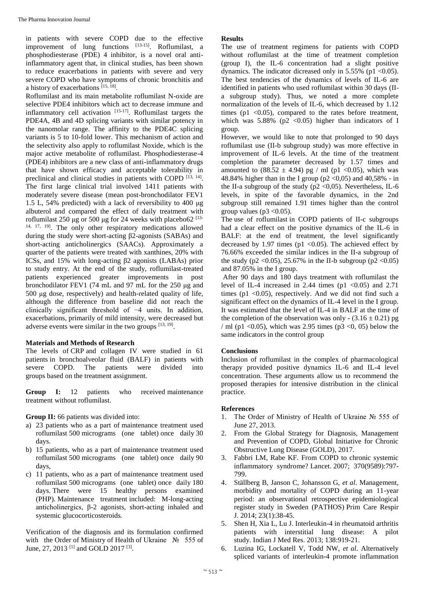in patients with severe COPD due to the effective improvement of lung functions [13-15]. Roflumilast, a phosphodiesterase (PDE) 4 inhibitor, is a novel oral antiinflammatory agent that, in clinical studies, has been shown to reduce exacerbations in patients with severe and very severe COPD who have symptoms of chronic bronchitis and a history of exacerbations [15, 18].

Roflumilast and its main metabolite roflumilast N-oxide are selective PDE4 inhibitors which act to decrease immune and inflammatory cell activation  $[15-17]$ . Roflumilast targets the PDE4A, 4B and 4D splicing variants with similar potency in the nanomolar range. The affinity to the PDE4C splicing variants is 5 to 10-fold lower. This mechanism of action and the selectivity also apply to roflumilast Noxide, which is the major active metabolite of roflumilast. Phosphodiesterase-4 (PDE4) inhibitors are a new class of anti-inflammatory drugs that have shown efficacy and acceptable tolerability in preclinical and clinical studies in patients with COPD [13, 14]. The first large clinical trial involved 1411 patients with moderately severe disease (mean post-bronchodilator FEV1 1.5 L, 54% predicted) with a lack of reversibility to 400 μg albuterol and compared the effect of daily treatment with roflumilast 250 μg or 500 μg for 24 weeks with placebo62<sup>[13-</sup> 14, 17, 19]. The only other respiratory medications allowed during the study were short-acting β2-agonists (SABAs) and short-acting anticholinergics (SAACs). Approximately a quarter of the patients were treated with xanthines, 20% with ICSs, and 15% with long-acting β2 agonists (LABAs) prior to study entry. At the end of the study, roflumilast-treated patients experienced greater improvements in post bronchodilator FEV1 (74 mL and 97 mL for the 250 μg and 500 μg dose, respectively) and health-related quality of life, although the difference from baseline did not reach the clinically significant threshold of −4 units. In addition, exacerbations, primarily of mild intensity, were decreased but adverse events were similar in the two groups  $[13, 19]$ .

# **Materials and Methods of Research**

The levels of CRP and collagen IV were studied in 61 patients in bronchoalveolar fluid (BALF) in patients with severe COPD. The patients were divided into groups based on the treatment assignment.

**Group I:** 12 patients who received maintenance treatment without roflumilast.

**Group II:** 66 patients was divided into:

- a) 23 patients who as a part of maintenance treatment used roflumilast 500 micrograms (one tablet) once daily 30 days.
- b) 15 patients, who as a part of maintenance treatment used roflumilast 500 micrograms (one tablet) once daily 90 days,
- c) 11 patients, who as a part of maintenance treatment used roflumilast 500 micrograms (one tablet) once daily 180 days. There were 15 healthy persons examined (PHP). Maintenance treatment included: M-long-acting anticholinergics, β-2 agonists, short-acting inhaled and systemic glucocorticosteroids.

Verification of the diagnosis and its formulation confirmed with the Order of Ministry of Health of Ukraine № 555 of June, 27, 2013<sup>[1]</sup> and GOLD 2017<sup>[3]</sup>.

# **Results**

The use of treatment regimens for patients with COPD without roflumilast at the time of treatment completion (group I), the IL-6 concentration had a slight positive dynamics. The indicator dicreased only in  $5.55\%$  (p1 <0.05). The best tendencies of the dynamics of levels of IL-6 are identified in patients who used roflumilast within 30 days (IIa subgroup study). Thus, we noted a more complete normalization of the levels of IL-6, which decreased by 1.12 times ( $p1 < 0.05$ ), compared to the rates before treatment, which was  $5.88\%$  (p2 < 0.05) higher than indicators of I group.

However, we would like to note that prolonged to 90 days roflumilast use (II-b subgroup study) was more effective in improvement of IL-6 levels. At the time of the treatment completion the parameter decreased by 1.57 times and amounted to  $(88.52 \pm 4.94)$  pg / ml (p1 < 0.05), which was 48.84% higher than in the I group ( $p2 < 0.05$ ) and 40.58% - in the II-a subgroup of the study ( $p2 < 0.05$ ). Nevertheless, IL-6 levels, in spite of the favorable dynamics, in the 2nd subgroup still remained 1.91 times higher than the control group values ( $p3 < 0.05$ ).

The use of roflumilast in COPD patients of II-c subgroups had a clear effect on the positive dynamics of the IL-6 in BALF: at the end of treatment, the level significantly decreased by 1.97 times ( $p1$  <0.05). The achieved effect by 76.66% exceeded the similar indices in the II-a subgroup of the study (p2 < 0.05), 25.67% in the II-b subgroup (p2 < 0.05) and 87.05% in the I group.

After 90 days and 180 days treatment with roflumilast the level of IL-4 increased in 2.44 times (p1  $< 0.05$ ) and 2.71 times (p1  $\langle 0.05 \rangle$ , respectively. And we did not find such a significant effect on the dynamics of IL-4 level in the I group. It was estimated that the level of IL-4 in BALF at the time of the completion of the observation was only -  $(3.16 \pm 0.21)$  pg / ml (p1 < 0.05), which was 2.95 times (p3 < 0, 05) below the same indicators in the control group

# **Conclusions**

Inclusion of roflumilast in the complex of pharmacological therapy provided positive dynamics IL-6 and IL-4 level concentration. These arguments allow us to recommend the proposed therapies for intensive distribution in the clinical practice.

#### **References**

- The Order of Ministry of Health of Ukraine № 555 of June 27, 2013.
- 2. From the Global Strategy for Diagnosis, Management and Prevention of COPD, Global Initiative for Chronic Obstructive Lung Disease (GOLD), 2017.
- 3. Fabbri LM, Rabe KF. From COPD to chronic systemic inflammatory syndrome? Lancet. 2007; 370(9589):797- 799.
- 4. Ställberg B, Janson C, Johansson G, *et al*. Management, morbidity and mortality of COPD during an 11-year period: an observational retrospective epidemiological register study in Sweden (PATHOS) Prim Care Respir J. 2014; 23(1):38-45.
- 5. Shen H, Xia L, Lu J. Interleukin-4 in rheumatoid arthritis patients with interstitial lung disease: A pilot study. Indian J Med Res. 2013; 138:919-21.
- 6. Luzina IG, Lockatell V, Todd NW, *et al*. Alternatively spliced variants of interleukin-4 promote inflammation